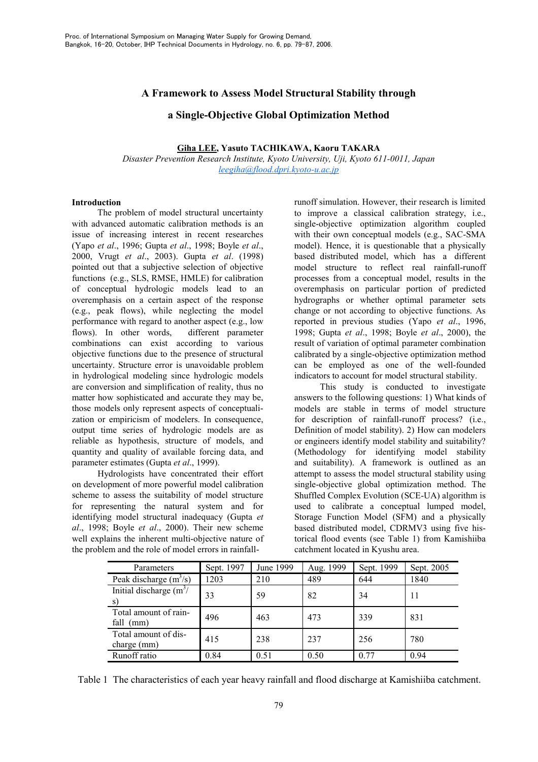# A Framework to Assess Model Structural Stability through

## a Single-Objective Global Optimization Method

### Giha LEE, Yasuto TACHIKAWA, Kaoru TAKARA

Disaster Prevention Research Institute, Kyoto University, Uji, Kyoto 611-0011, Japan  $leegiha@flood.dpri.kvoto-u.ac.jp$ 

### **Introduction**

The problem of model structural uncertainty with advanced automatic calibration methods is an issue of increasing interest in recent researches (Yapo et al., 1996; Gupta et al., 1998; Boyle et al., 2000, Vrugt et al., 2003). Gupta et al. (1998) pointed out that a subjective selection of objective functions (e.g., SLS, RMSE, HMLE) for calibration of conceptual hydrologic models lead to an overemphasis on a certain aspect of the response (e.g., peak flows), while neglecting the model performance with regard to another aspect (e.g., low flows). In other words, different parameter combinations can exist according to various objective functions due to the presence of structural uncertainty. Structure error is unavoidable problem in hydrological modeling since hydrologic models are conversion and simplification of reality, thus no matter how sophisticated and accurate they may be, those models only represent aspects of conceptualization or empiricism of modelers. In consequence, output time series of hydrologic models are as reliable as hypothesis, structure of models, and quantity and quality of available forcing data, and parameter estimates (Gupta et al., 1999).

Hydrologists have concentrated their effort on development of more powerful model calibration scheme to assess the suitability of model structure for representing the natural system and for identifying model structural inadequacy (Gupta et al., 1998; Boyle et al., 2000). Their new scheme well explains the inherent multi-objective nature of the problem and the role of model errors in rainfallrunoff simulation. However, their research is limited to improve a classical calibration strategy, i.e., single-objective optimization algorithm coupled with their own conceptual models (e.g., SAC-SMA model). Hence, it is questionable that a physically based distributed model, which has a different model structure to reflect real rainfall-runoff processes from a conceptual model, results in the overemphasis on particular portion of predicted hydrographs or whether optimal parameter sets change or not according to objective functions. As reported in previous studies (Yapo et al., 1996, 1998: Gupta et al., 1998: Boyle et al., 2000), the result of variation of optimal parameter combination calibrated by a single-objective optimization method can be employed as one of the well-founded indicators to account for model structural stability.

This study is conducted to investigate answers to the following questions: 1) What kinds of models are stable in terms of model structure for description of rainfall-runoff process? (i.e., Definition of model stability). 2) How can modelers or engineers identify model stability and suitability? (Methodology for identifying model stability and suitability). A framework is outlined as an attempt to assess the model structural stability using single-objective global optimization method. The Shuffled Complex Evolution (SCE-UA) algorithm is used to calibrate a conceptual lumped model, Storage Function Model (SFM) and a physically based distributed model, CDRMV3 using five historical flood events (see Table 1) from Kamishiiba catchment located in Kyushu area.

| Parameters                           | Sept. 1997 | June 1999 | Aug. 1999 | Sept. 1999 | Sept. 2005 |
|--------------------------------------|------------|-----------|-----------|------------|------------|
| Peak discharge $(m^3/s)$             | 1203       | 210       | 489       | 644        | 1840       |
| Initial discharge $(m^3)$<br>S)      | 33         | 59        | 82        | 34         | 11         |
| Total amount of rain-<br>fall $(mm)$ | 496        | 463       | 473       | 339        | 831        |
| Total amount of dis-<br>charge (mm)  | 415        | 238       | 237       | 256        | 780        |
| Runoff ratio                         | 0.84       | 0.51      | 0.50      | 0.77       | 0.94       |

Table 1 The characteristics of each year heavy rainfall and flood discharge at Kamishiiba catchment.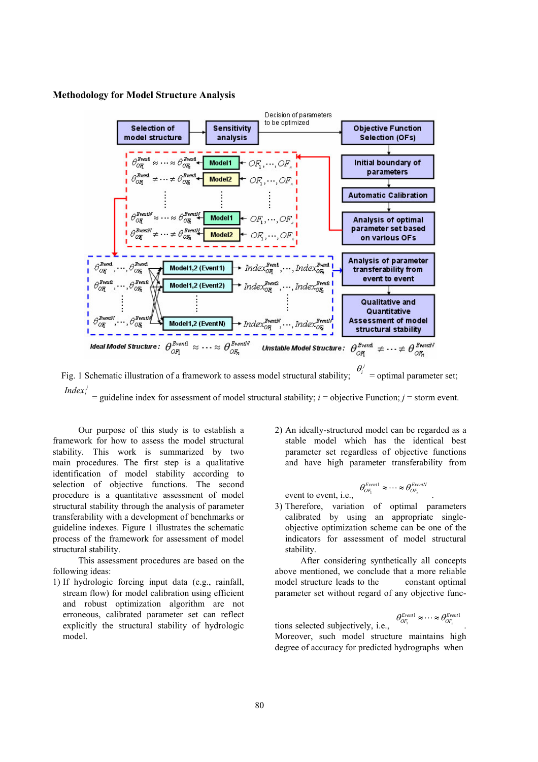### **Methodology for Model Structure Analysis**



 $\theta_i^j$  = optimal parameter set; Fig. 1 Schematic illustration of a framework to assess model structural stability;  $Index_i^j$ = guideline index for assessment of model structural stability;  $i$  = objective Function;  $j$  = storm event.

Our purpose of this study is to establish a framework for how to assess the model structural stability. This work is summarized by two main procedures. The first step is a qualitative identification of model stability according to selection of objective functions. The second procedure is a quantitative assessment of model structural stability through the analysis of parameter transferability with a development of benchmarks or guideline indexes. Figure 1 illustrates the schematic process of the framework for assessment of model structural stability.

This assessment procedures are based on the following ideas:

1) If hydrologic forcing input data (e.g., rainfall, stream flow) for model calibration using efficient and robust optimization algorithm are not erroneous, calibrated parameter set can reflect explicitly the structural stability of hydrologic model.

2) An ideally-structured model can be regarded as a stable model which has the identical best parameter set regardless of objective functions and have high parameter transferability from

$$
\theta_{OF_1}^{Event1} \approx \cdots \approx \theta_{OF_n}^{EventN}
$$

event to event, *i.e.*,

3) Therefore, variation of optimal parameters calibrated by using an appropriate singleobjective optimization scheme can be one of the indicators for assessment of model structural stability.

After considering synthetically all concepts above mentioned, we conclude that a more reliable model structure leads to the constant optimal parameter set without regard of any objective func-

tions selected subjectively, i.e.,  $\theta_{OF_1}^{Event1} \approx \cdots \approx \theta_{OF_n}^{Event1}$ <br>Moreover. Moreover, such model structure maintains high degree of accuracy for predicted hydrographs when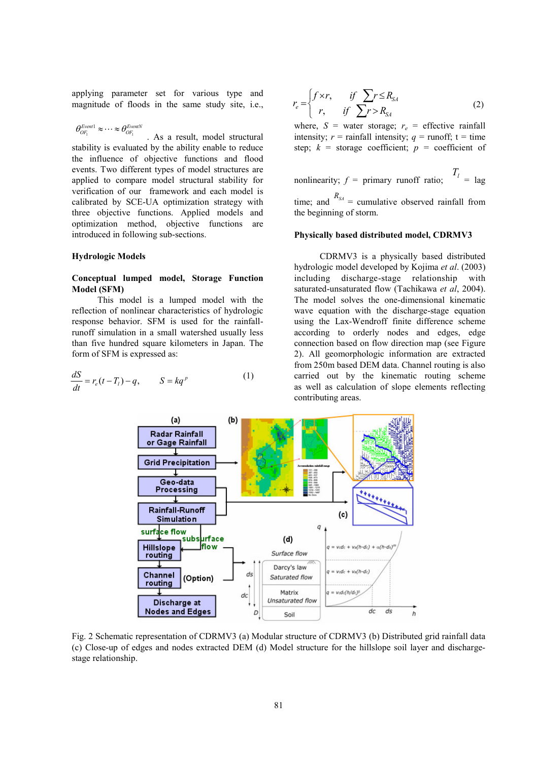applying parameter set for various type and magnitude of floods in the same study site, i.e.,

$$
\theta_{OE}^{Event1} \approx \cdots \approx \theta_{OE}^{EventN}
$$

. As a result, model structural stability is evaluated by the ability enable to reduce the influence of objective functions and flood events. Two different types of model structures are applied to compare model structural stability for verification of our framework and each model is calibrated by SCE-UA optimization strategy with three objective functions. Applied models and optimization method, objective functions are introduced in following sub-sections.

### **Hydrologic Models**

### Conceptual lumped model, Storage Function **Model (SFM)**

This model is a lumped model with the reflection of nonlinear characteristics of hydrologic response behavior. SFM is used for the rainfallrunoff simulation in a small watershed usually less than five hundred square kilometers in Japan. The form of SFM is expressed as:

$$
\frac{dS}{dt} = r_e(t - T_l) - q, \qquad S = kq^p \tag{1}
$$

$$
r_e = \begin{cases} f \times r, & \text{if } \sum r \le R_{SA} \\ r, & \text{if } \sum r > R_{SA} \end{cases} \tag{2}
$$

where,  $S =$  water storage;  $r_e =$  effective rainfall intensity;  $r =$  rainfall intensity;  $q =$  runoff;  $t =$  time step;  $k =$  storage coefficient;  $p =$  coefficient of

nonlinearity; 
$$
f =
$$
 primary runoff ratio;  $T_l =$  lag  
time; and  $R_{SA} =$  cumulative observed rainfall from  
the beginning of storm.

### Physically based distributed model, CDRMV3

CDRMV3 is a physically based distributed hydrologic model developed by Kojima et al. (2003) including discharge-stage relationship with saturated-unsaturated flow (Tachikawa et al, 2004). The model solves the one-dimensional kinematic wave equation with the discharge-stage equation using the Lax-Wendroff finite difference scheme according to orderly nodes and edges, edge connection based on flow direction map (see Figure 2). All geomorphologic information are extracted from 250m based DEM data. Channel routing is also carried out by the kinematic routing scheme as well as calculation of slope elements reflecting contributing areas.



Fig. 2 Schematic representation of CDRMV3 (a) Modular structure of CDRMV3 (b) Distributed grid rainfall data (c) Close-up of edges and nodes extracted DEM (d) Model structure for the hillslope soil layer and dischargestage relationship.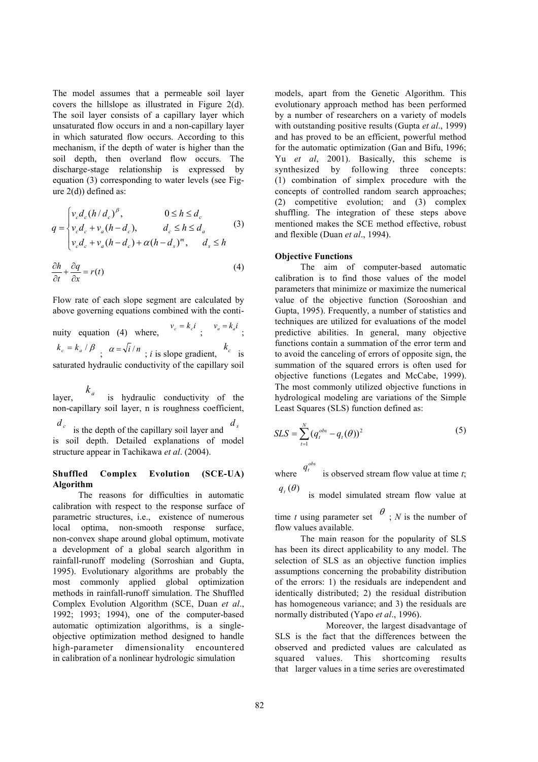The model assumes that a permeable soil layer covers the hillslope as illustrated in Figure  $2(d)$ . The soil layer consists of a capillary layer which unsaturated flow occurs in and a non-capillary layer in which saturated flow occurs. According to this mechanism, if the depth of water is higher than the soil depth, then overland flow occurs. The discharge-stage relationship is expressed by equation (3) corresponding to water levels (see Figure  $2(d)$ ) defined as:

$$
q = \begin{cases} v_c d_c (h/d_c)^{\beta}, & 0 \le h \le d_c \\ v_c d_c + v_a (h - d_c), & d_c \le h \le d_a \\ v_c d_c + v_a (h - d_c) + \alpha (h - d_s)^m, & d_s \le h \end{cases}
$$
(3)

$$
\frac{\partial h}{\partial t} + \frac{\partial q}{\partial x} = r(t) \tag{4}
$$

Flow rate of each slope segment are calculated by above governing equations combined with the conti-

nuity equation (4) where,  $v_c = k_c i$ ;  $v_a = k_a i$ .  $k_c = k_a / \beta$ ;  $\alpha = \sqrt{i}/n$ ; *i* is slope gradient,  $k_c$  is saturated hydraulic conductivity of the capillary soil

 $k_a$  is hydraulic conductivity of the laver non-capillary soil layer, n is roughness coefficient.  $d_c$ is the depth of the capillary soil laver and

is soil depth. Detailed explanations of model structure appear in Tachikawa et al. (2004).

#### $(SCE-UA)$ **Shuffled** Complex Evolution Algorithm

The reasons for difficulties in automatic calibration with respect to the response surface of parametric structures, i.e., existence of numerous local optima, non-smooth response surface, non-convex shape around global optimum, motivate a development of a global search algorithm in rainfall-runoff modeling (Sorroshian and Gupta, 1995). Evolutionary algorithms are probably the most commonly applied global optimization methods in rainfall-runoff simulation. The Shuffled Complex Evolution Algorithm (SCE, Duan et al., 1992; 1993; 1994), one of the computer-based automatic optimization algorithms, is a singleobjective optimization method designed to handle high-parameter dimensionality encountered in calibration of a nonlinear hydrologic simulation

models, apart from the Genetic Algorithm. This evolutionary approach method has been performed by a number of researchers on a variety of models with outstanding positive results (Gupta et al., 1999) and has proved to be an efficient, powerful method for the automatic optimization (Gan and Bifu, 1996; Yu et al, 2001). Basically, this scheme is synthesized by following three concepts: (1) combination of simplex procedure with the concepts of controlled random search approaches; (2) competitive evolution; and (3) complex shuffling. The integration of these steps above mentioned makes the SCE method effective, robust and flexible (Duan et al., 1994).

## **Objective Functions**

The aim of computer-based automatic calibration is to find those values of the model parameters that minimize or maximize the numerical value of the objective function (Sorooshian and Gupta, 1995). Frequently, a number of statistics and techniques are utilized for evaluations of the model predictive abilities. In general, many objective functions contain a summation of the error term and to avoid the canceling of errors of opposite sign, the summation of the squared errors is often used for objective functions (Legates and McCabe, 1999). The most commonly utilized objective functions in hydrological modeling are variations of the Simple Least Squares (SLS) function defined as:

$$
SLS = \sum_{t=1}^{N} (q_t^{obs} - q_t(\theta))^2
$$
 (5)

where  $q_i^{obs}$  is observed stream flow value at time t;

 $q_{t}(\theta)$ is model simulated stream flow value at

time t using parameter set  $\theta$ ; N is the number of flow values available.

The main reason for the popularity of SLS has been its direct applicability to any model. The selection of SLS as an objective function implies assumptions concerning the probability distribution of the errors: 1) the residuals are independent and identically distributed; 2) the residual distribution has homogeneous variance; and 3) the residuals are normally distributed (Yapo et al., 1996).

Moreover, the largest disadvantage of SLS is the fact that the differences between the observed and predicted values are calculated as squared values. This shortcoming results that larger values in a time series are overestimated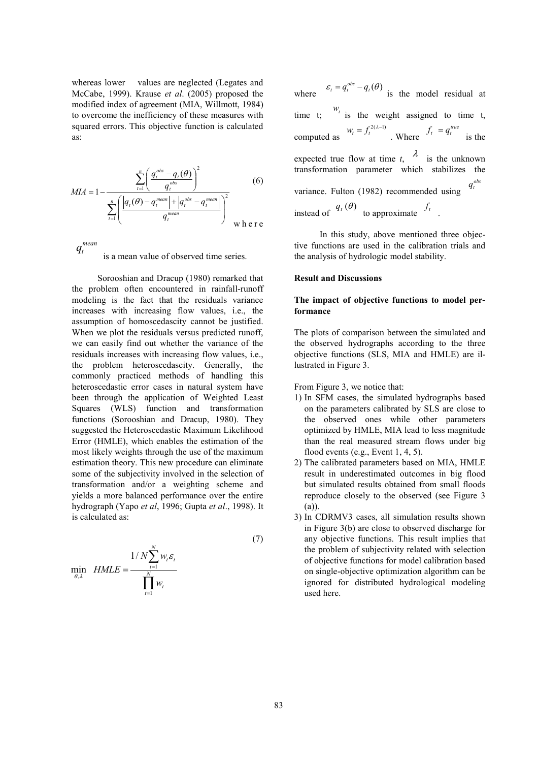whereas lower values are neglected (Legates and McCabe, 1999). Krause et al. (2005) proposed the modified index of agreement (MIA, Willmott, 1984) to overcome the inefficiency of these measures with squared errors. This objective function is calculated  $a<sup>c</sup>$ 

$$
MIA = 1 - \frac{\sum_{t=1}^{n} \left( \frac{q_t^{obs} - q_t(\theta)}{q_t^{obs}} \right)^2}{\sum_{t=1}^{n} \left( \frac{|q_t(\theta) - q_t^{mean}| + |q_t^{obs} - q_t^{mean}|}{q_t^{mean}} \right)^2} \text{ when } t \in \mathbb{R}^n
$$

 $q_t^{mean}$ is a mean value of observed time series.

Sorooshian and Dracup (1980) remarked that the problem often encountered in rainfall-runoff modeling is the fact that the residuals variance increases with increasing flow values, i.e., the assumption of homoscedascity cannot be justified. When we plot the residuals versus predicted runoff. we can easily find out whether the variance of the residuals increases with increasing flow values, i.e., the problem heteroscedascity. Generally, the commonly practiced methods of handling this heteroscedastic error cases in natural system have been through the application of Weighted Least Squares (WLS) function and transformation functions (Sorooshian and Dracup, 1980). They suggested the Heteroscedastic Maximum Likelihood Error (HMLE), which enables the estimation of the most likely weights through the use of the maximum estimation theory. This new procedure can eliminate some of the subjectivity involved in the selection of transformation and/or a weighting scheme and vields a more balanced performance over the entire hydrograph (Yapo et al, 1996; Gupta et al., 1998). It is calculated as:

$$
\min_{\theta, \lambda} \quad HMLE = \frac{1/N \sum_{t=1}^{N} w_t \varepsilon_t}{\prod_{t=1}^{N} w_t}
$$
\n<sup>(7)</sup>

where  $\varepsilon_t = q_t^{obs} - q_t(\theta)$  is the model residual at time t;  $\begin{bmatrix} w_t \\ w_t \end{bmatrix}$  is the weight assigned to time t, computed as  $W_t = f_t^{2(\lambda-1)}$ . Where  $f_t = q_t^{true}$  is the expected true flow at time t,  $\lambda$  is the unknown transformation parameter which stabilizes the variance. Fulton (1982) recommended using instead of  $q_t(\theta)$  to approximate  $f_t$ .

In this study, above mentioned three objective functions are used in the calibration trials and the analysis of hydrologic model stability.

### **Result and Discussions**

### The impact of objective functions to model performance

The plots of comparison between the simulated and the observed hydrographs according to the three objective functions (SLS, MIA and HMLE) are illustrated in Figure 3.

From Figure 3, we notice that:

- 1) In SFM cases, the simulated hydrographs based on the parameters calibrated by SLS are close to the observed ones while other parameters optimized by HMLE, MIA lead to less magnitude than the real measured stream flows under big flood events  $(e.g., Event 1, 4, 5)$ .
- 2) The calibrated parameters based on MIA, HMLE result in underestimated outcomes in big flood but simulated results obtained from small floods reproduce closely to the observed (see Figure 3  $(a)$ ).
- 3) In CDRMV3 cases, all simulation results shown in Figure 3(b) are close to observed discharge for any objective functions. This result implies that the problem of subjectivity related with selection of objective functions for model calibration based on single-objective optimization algorithm can be ignored for distributed hydrological modeling used here.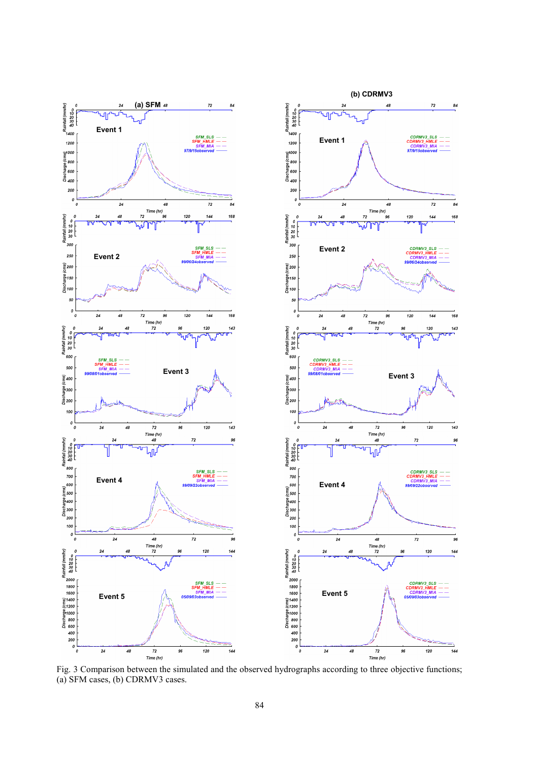

Fig. 3 Comparison between the simulated and the observed hydrographs according to three objective functions; (a) SFM cases, (b) CDRMV3 cases.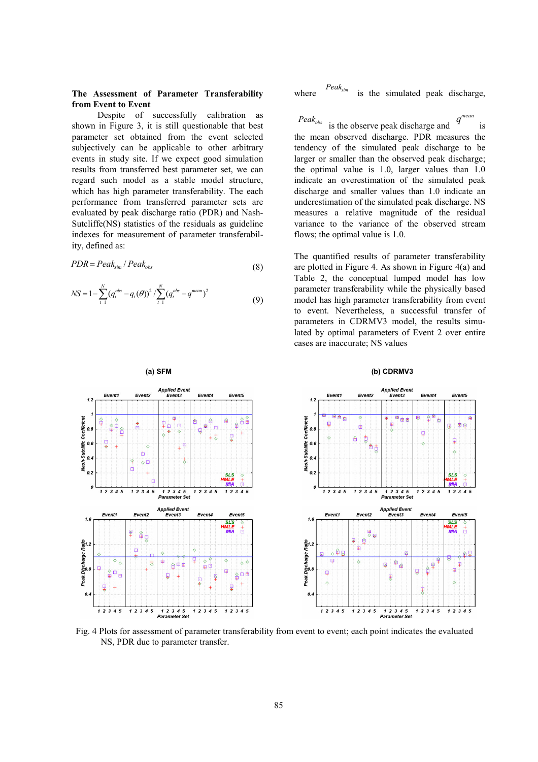### The Assessment of Parameter Transferability from Event to Event

Despite of successfully calibration as shown in Figure 3, it is still questionable that best parameter set obtained from the event selected subjectively can be applicable to other arbitrary events in study site. If we expect good simulation results from transferred best parameter set, we can regard such model as a stable model structure, which has high parameter transferability. The each performance from transferred parameter sets are evaluated by peak discharge ratio (PDR) and Nash-Sutcliffe(NS) statistics of the residuals as guideline indexes for measurement of parameter transferability, defined as:

$$
PDR = Peak_{\text{sim}} / Peak_{\text{obs}} \tag{8}
$$

$$
NS = 1 - \sum_{t=1}^{N} (q_t^{obs} - q_t(\theta))^2 / \sum_{t=1}^{N} (q_t^{obs} - q^{mean})^2
$$
\n(9)

 $Peak_{sim}$ is the simulated peak discharge, where

 $Peak_{obs}$ is the observe peak discharge and is the mean observed discharge. PDR measures the tendency of the simulated peak discharge to be larger or smaller than the observed peak discharge; the optimal value is  $1.0$ , larger values than  $1.0$ indicate an overestimation of the simulated peak discharge and smaller values than 1.0 indicate an underestimation of the simulated peak discharge. NS measures a relative magnitude of the residual variance to the variance of the observed stream flows; the optimal value is 1.0.

The quantified results of parameter transferability are plotted in Figure 4. As shown in Figure  $4(a)$  and Table 2, the conceptual lumped model has low parameter transferability while the physically based model has high parameter transferability from event to event. Nevertheless, a successful transfer of parameters in CDRMV3 model, the results simulated by optimal parameters of Event 2 over entire cases are inaccurate; NS values



Fig. 4 Plots for assessment of parameter transferability from event to event; each point indicates the evaluated NS, PDR due to parameter transfer.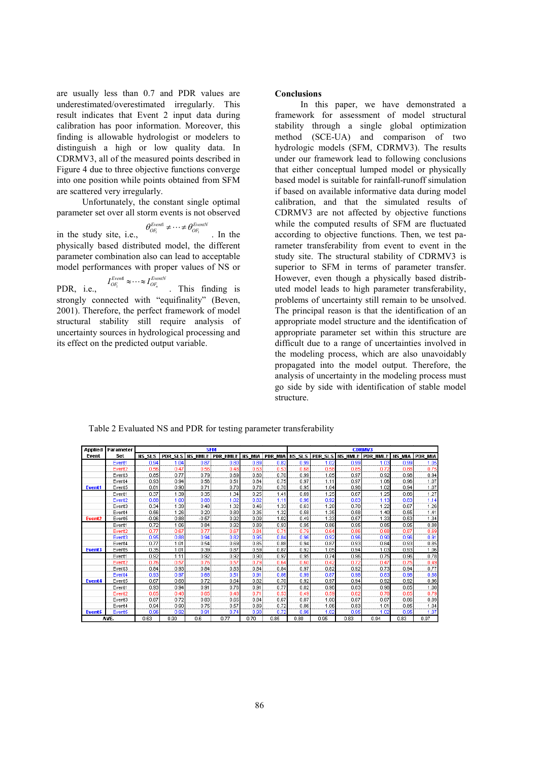are usually less than 0.7 and PDR values are underestimated/overestimated irregularly. This result indicates that Event 2 input data during calibration has poor information. Moreover, this finding is allowable hydrologist or modelers to distinguish a high or low quality data. In CDRMV3, all of the measured points described in Figure 4 due to three objective functions converge into one position while points obtained from SFM are scattered very irregularly.

Unfortunately, the constant single optimal parameter set over all storm events is not observed

in the study site, i.e.,  $\theta_{OF_1}^{Event} \neq \cdots \neq \theta_{OF_1}^{EventN}$ . In the physically based distributed model, the different parameter combination also can lead to acceptable model performances with proper values of NS or

 $I_{\mathit{OF}_i}^{\mathit{Event}} \approx \cdots \approx I_{\mathit{OF}_n}^{\mathit{EventN}} \qquad \qquad \text{This} \quad \text{finding} \quad \text{is}$ PDR, i.e., strongly connected with "equifinality" (Beven, 2001). Therefore, the perfect framework of model structural stability still require analysis of uncertainty sources in hydrological processing and its effect on the predicted output variable.

### **Conclusions**

In this paper, we have demonstrated a framework for assessment of model structural stability through a single global optimization method (SCE-UA) and comparison of two hydrologic models (SFM, CDRMV3). The results under our framework lead to following conclusions that either conceptual lumped model or physically based model is suitable for rainfall-runoff simulation if based on available informative data during model calibration, and that the simulated results of CDRMV3 are not affected by objective functions while the computed results of SFM are fluctuated according to objective functions. Then, we test parameter transferability from event to event in the study site. The structural stability of CDRMV3 is superior to SFM in terms of parameter transfer. However, even though a physically based distributed model leads to high parameter transferability, problems of uncertainty still remain to be unsolved. The principal reason is that the identification of an appropriate model structure and the identification of appropriate parameter set within this structure are difficult due to a range of uncertainties involved in the modeling process, which are also unavoidably propagated into the model output. Therefore, the analysis of uncertainty in the modeling process must go side by side with identification of stable model structure

| Applied            | Parameter          | <b>SFM</b>    |      |         |                           |               | <b>CDRMV3</b>  |               |                |      |                  |               |                |
|--------------------|--------------------|---------------|------|---------|---------------------------|---------------|----------------|---------------|----------------|------|------------------|---------------|----------------|
| Event              | Set                | <b>NS SLS</b> |      |         | PDR SLS INS HMLE PDR HMLE | <b>NS MIA</b> | <b>PDR MIA</b> | <b>NS SLS</b> | <b>PDR SLS</b> |      | NS HMLE PDR HMLE | <b>NS MIA</b> | <b>PDR MIA</b> |
|                    | Event1             | 0.94          | 1.04 | 0.87    | 0.80                      | 0.89          | 0.82           | 0.99          | 1.02           | 0.99 | 1.03             | 0.99          | 1.05           |
|                    | Event <sub>2</sub> | 0.56          | 0.47 | 0.56    | 0.48                      | 0.63          | 0.53           | 0.68          | 0.58           | 0.85 | 0.72             | 0.88          | 0.75           |
|                    | Event3             | 0.85          | 0.77 | 0.79    | 0.69                      | 0.80          | 0.70           | 0.99          | 1.05           | 0.97 | 0.92             | 0.98          | 0.94           |
|                    | Event <sub>4</sub> | 0.93          | 0.94 | 0.56    | 0.51                      | 0.84          | 0.75           | 0.97          | 1.11           | 0.97 | 1.06             | 0.96          | 1.07           |
| Event <sub>1</sub> | Event <sub>5</sub> | 0.81          | 0.90 | 0.71    | 0.70                      | 0.76          | 0.70           | 0.95          | 1.04           | 0.96 | 1.02             | 0.94          | 1.07           |
|                    | Event1             | 0.37          | 1.39 | 0.35    | 1.34                      | 0.25          | 1.41           | 0.69          | 1.25           | 0.67 | 1.25             | 0.66          | 1.27           |
|                    | Event <sub>2</sub> | 0.88          | 1.00 | 0.88    | 1.02                      | 0.82          | 1.11           | 0.96          | 0.92           | 0.83 | 1.13             | 0.83          | 1.14           |
|                    | Event3             | 0.34          | 1.39 | 0.48    | 1.32                      | 0.46          | 1.33           | 0.63          | 1.28           | 0.70 | 1.22             | 0.67          | 1.26           |
|                    | Event <sub>4</sub> | 0.56          | 1.26 | 0.20    | 0.80                      | 0.35          | 1.32           | 0.58          | 1.35           | 0.58 | 1.40             | 0.55          | 1.41           |
| Event <sub>2</sub> | Event <sub>5</sub> | $-0.96$       | 0.88 | $-0.57$ | 0.92                      | 0.09          | 1.02           | 0.49          | 1.33           | 0.57 | 1.33             | 0.53          | 1.34           |
|                    | Event1             | 0.72          | 1.06 | 0.84    | 0.92                      | 0.89          | 0.93           | 0.95          | 0.86           | 0.95 | 0.85             | 0.95          | 0.88           |
|                    | Event <sub>2</sub> | 0.77          | 0.67 | 0.77    | 0.67                      | 0.84          | 0.71           | 0.79          | 0.64           | 0.86 | 0.68             | 0.87          | 0.69           |
|                    | Event3             | 0.95          | 0.88 | 0.94    | 0.82                      | 0.95          | 0.84           | 0.96          | 0.92           | 0.96 | 0.90             | 0.96          | 0.91           |
|                    | Event4             | 0.77          | 1.01 | 0.54    | 0.69                      | 0.85          | 0.88           | 0.94          | 0.87           | 0.93 | 0.84             | 0.93          | 0.85           |
| Event <sub>3</sub> | Event5             | 0.35          | 1.01 | 0.39    | 0.87                      | 0.59          | 0.87           | 0.92          | 1.05           | 0.94 | 1.03             | 0.93          | 1.06           |
|                    | Event1             | 0.92          | 1.11 | 0.92    | 0.92                      | 0.90          | 0.97           | 0.95          | 0.74           | 0.96 | 0.75             | 0.96          | 0.78           |
|                    | Event2             | 0.76          | 0.57 | 0.76    | 0.57                      | 0.79          | 0.64           | 0.60          | 0.42           | 0.72 | 0.47             | 0.75          | 0.49           |
|                    | Event3             | 0.84          | 0.93 | 0.84    | 0.83                      | 0.84          | 0.84           | 0.97          | 0.82           | 0.92 | 0.73             | 0.94          | 0.77           |
|                    | Event <sub>4</sub> | 0.93          | 0.97 | 0.68    | 0.51                      | 0.91          | 0.86           | 0.99          | 0.87           | 0.98 | 0.83             | 0.98          | 0.88           |
| Event <sub>4</sub> | Event5             | 0.67          | 0.68 | 0.72    | 0.64                      | 0.82          | 0.70           | 0.92          | 0.97           | 0.94 | 0.92             | 0.92          | 0.96           |
|                    | Event1             | 0.93          | 0.94 | 0.91    | 0.76                      | 0.91          | 0.77           | 0.82          | 0.96           | 0.83 | 0.98             | 0.85          | 1.00           |
|                    | Event <sub>2</sub> | 0.65          | 0.48 | 0.65    | 0.48                      | 0.71          | 0.53           | 0.49          | 0.59           | 0.62 | 0.78             | 0.65          | 0.79           |
|                    | Event3             | 0.87          | 0.72 | 0.83    | 0.65                      | 0.84          | 0.67           | 0.87          | 1.00           | 0.87 | 0.87             | 0.86          | 0.89           |
|                    | Event4             | 0.94          | 0.90 | 0.75    | 0.57                      | 0.89          | 0.72           | 0.86          | 1.06           | 0.83 | 1.01             | 0.85          | 1.04           |
| Event <sub>5</sub> | Event <sub>5</sub> | 0.96          | 0.92 | 0.91    | 0.74                      | 0.90          | 0.72           | 0.96          | 1.02           | 0.95 | 1.02             | 0.95          | 1.07           |
|                    | AVE.               | 0.63          | 0.90 | 0.6     | 0.77                      | n 70          | 0.85           | n 80          | 0.95           | 0.83 | 0.94             | 0.83          | 0.97           |

Table 2 Evaluated NS and PDR for testing parameter transferability